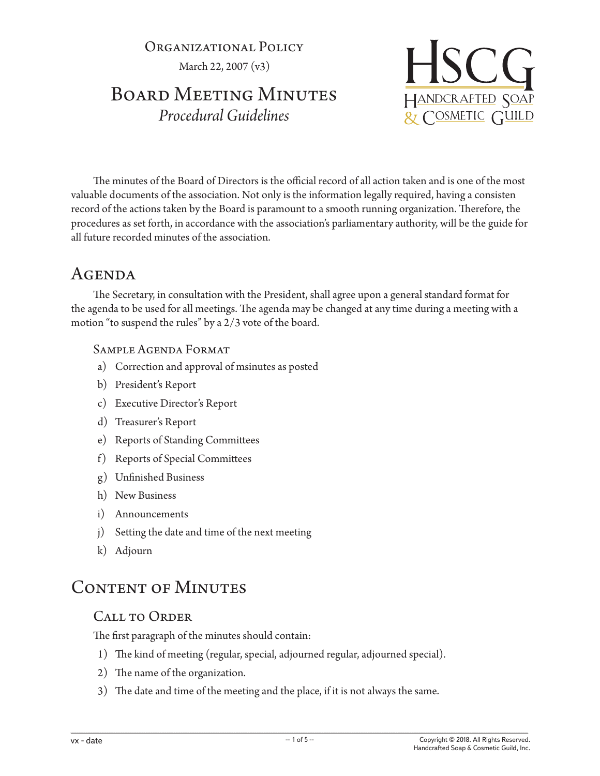Organizational Policy March 22, 2007 (v3)

# BOARD MEETING MINUTES *Procedural Guidelines*



The minutes of the Board of Directors is the official record of all action taken and is one of the most valuable documents of the association. Not only is the information legally required, having a consisten record of the actions taken by the Board is paramount to a smooth running organization. Therefore, the procedures as set forth, in accordance with the association's parliamentary authority, will be the guide for all future recorded minutes of the association.

# Agenda

The Secretary, in consultation with the President, shall agree upon a general standard format for the agenda to be used for all meetings. The agenda may be changed at any time during a meeting with a motion "to suspend the rules" by a 2/3 vote of the board.

## Sample Agenda Format

- a) Correction and approval of msinutes as posted
- b) President's Report
- c) Executive Director's Report
- d) Treasurer's Report
- e) Reports of Standing Committees
- f) Reports of Special Committees
- g) Unfinished Business
- h) New Business
- i) Announcements
- j) Setting the date and time of the next meeting
- k) Adjourn

# CONTENT OF MINUTES

# Call to Order

The first paragraph of the minutes should contain:

- 1) The kind of meeting (regular, special, adjourned regular, adjourned special).
- 2) The name of the organization.
- 3) The date and time of the meeting and the place, if it is not always the same.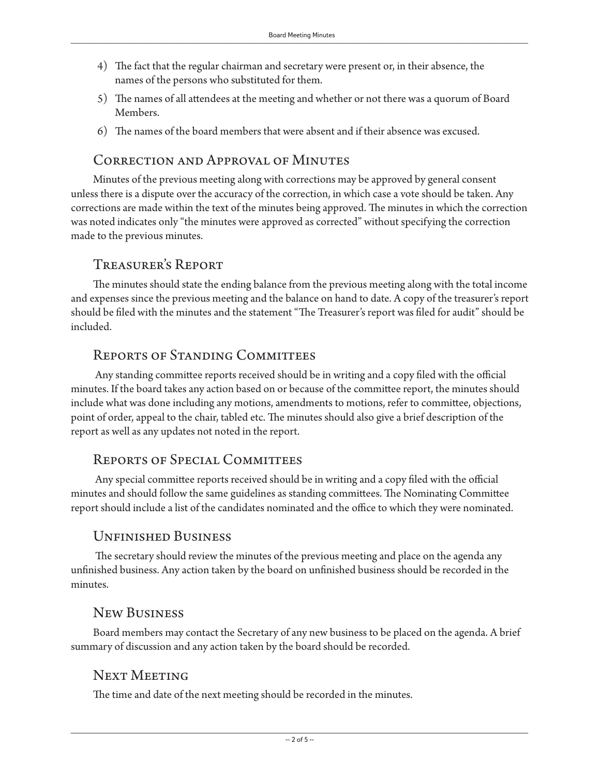- 4) The fact that the regular chairman and secretary were present or, in their absence, the names of the persons who substituted for them.
- 5) The names of all attendees at the meeting and whether or not there was a quorum of Board Members.
- 6) The names of the board members that were absent and if their absence was excused.

## Correction and Approval of Minutes

Minutes of the previous meeting along with corrections may be approved by general consent unless there is a dispute over the accuracy of the correction, in which case a vote should be taken. Any corrections are made within the text of the minutes being approved. The minutes in which the correction was noted indicates only "the minutes were approved as corrected" without specifying the correction made to the previous minutes.

#### Treasurer's Report

The minutes should state the ending balance from the previous meeting along with the total income and expenses since the previous meeting and the balance on hand to date. A copy of the treasurer's report should be filed with the minutes and the statement "The Treasurer's report was filed for audit" should be included.

## Reports of Standing Committees

 Any standing committee reports received should be in writing and a copy filed with the official minutes. If the board takes any action based on or because of the committee report, the minutes should include what was done including any motions, amendments to motions, refer to committee, objections, point of order, appeal to the chair, tabled etc. The minutes should also give a brief description of the report as well as any updates not noted in the report.

# Reports of Special Committees

 Any special committee reports received should be in writing and a copy filed with the official minutes and should follow the same guidelines as standing committees. The Nominating Committee report should include a list of the candidates nominated and the office to which they were nominated.

### Unfinished Business

 The secretary should review the minutes of the previous meeting and place on the agenda any unfinished business. Any action taken by the board on unfinished business should be recorded in the minutes.

### New Business

Board members may contact the Secretary of any new business to be placed on the agenda. A brief summary of discussion and any action taken by the board should be recorded.

# Next Meeting

The time and date of the next meeting should be recorded in the minutes.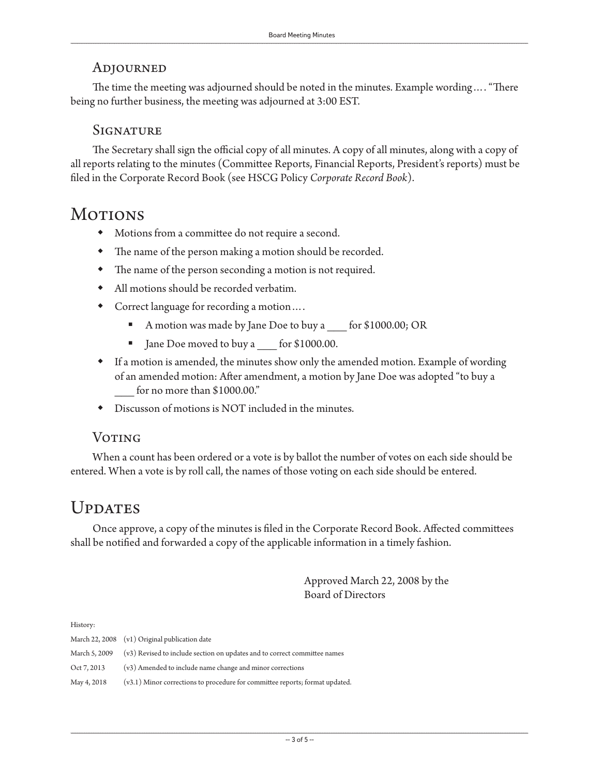#### Adjourned

The time the meeting was adjourned should be noted in the minutes. Example wording…. "There being no further business, the meeting was adjourned at 3:00 EST.

#### **SIGNATURE**

The Secretary shall sign the official copy of all minutes. A copy of all minutes, along with a copy of all reports relating to the minutes (Committee Reports, Financial Reports, President's reports) must be filed in the Corporate Record Book (see HSCG Policy *Corporate Record Book*).

# **MOTIONS**

- Motions from a committee do not require a second.
- The name of the person making a motion should be recorded.
- The name of the person seconding a motion is not required.
- All motions should be recorded verbatim.
- Correct language for recording a motion….
	- A motion was made by Jane Doe to buy a \_\_\_ for \$1000.00; OR
	- Jane Doe moved to buy a for \$1000.00.
- If a motion is amended, the minutes show only the amended motion. Example of wording of an amended motion: After amendment, a motion by Jane Doe was adopted "to buy a for no more than \$1000.00."
- Discusson of motions is NOT included in the minutes.

#### **VOTING**

When a count has been ordered or a vote is by ballot the number of votes on each side should be entered. When a vote is by roll call, the names of those voting on each side should be entered.

# UPDATES

Once approve, a copy of the minutes is filed in the Corporate Record Book. Affected committees shall be notified and forwarded a copy of the applicable information in a timely fashion.

> Approved March 22, 2008 by the Board of Directors

History:

|               | March 22, 2008 (v1) Original publication date                                  |
|---------------|--------------------------------------------------------------------------------|
| March 5, 2009 | (v3) Revised to include section on updates and to correct committee names      |
| Oct 7, 2013   | (v3) Amended to include name change and minor corrections                      |
| May 4, 2018   | $(v3.1)$ Minor corrections to procedure for committee reports; format updated. |